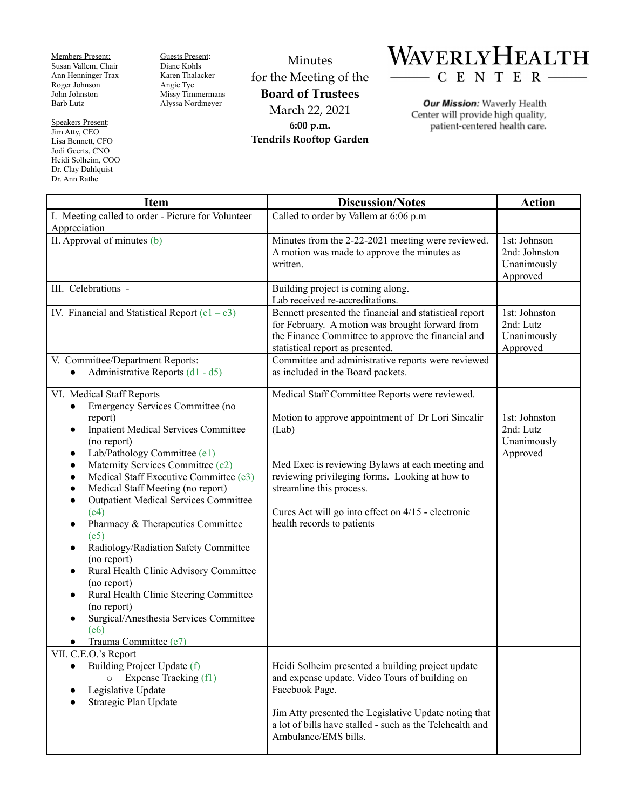Members Present: Susan Vallem, Chair Ann Henninger Trax Roger Johnson John Johnston Barb Lutz

Speakers Present: Jim Atty, CEO Lisa Bennett, CFO Jodi Geerts, CNO Heidi Solheim, COO Dr. Clay Dahlquist Dr. Ann Rathe

Guests Present: Diane Kohls Karen Thalacker Angie Tye Missy Timmermans Alyssa Nordmeyer

Minutes for the Meeting of the **Board of Trustees** March 22, 2021 **6:00 p.m. Tendrils Rooftop Garden**



Our Mission: Waverly Health Center will provide high quality, patient-centered health care.

| <b>Item</b>                                                                                                                                                                                                                                                                                                                                                                                                                                                                                                                                                                                                                                                                                                                                                                                        | <b>Discussion/Notes</b>                                                                                                                                                                                                                                                                                                            | <b>Action</b>                                            |
|----------------------------------------------------------------------------------------------------------------------------------------------------------------------------------------------------------------------------------------------------------------------------------------------------------------------------------------------------------------------------------------------------------------------------------------------------------------------------------------------------------------------------------------------------------------------------------------------------------------------------------------------------------------------------------------------------------------------------------------------------------------------------------------------------|------------------------------------------------------------------------------------------------------------------------------------------------------------------------------------------------------------------------------------------------------------------------------------------------------------------------------------|----------------------------------------------------------|
| I. Meeting called to order - Picture for Volunteer<br>Appreciation                                                                                                                                                                                                                                                                                                                                                                                                                                                                                                                                                                                                                                                                                                                                 | Called to order by Vallem at 6:06 p.m                                                                                                                                                                                                                                                                                              |                                                          |
| II. Approval of minutes (b)                                                                                                                                                                                                                                                                                                                                                                                                                                                                                                                                                                                                                                                                                                                                                                        | Minutes from the 2-22-2021 meeting were reviewed.<br>A motion was made to approve the minutes as<br>written.                                                                                                                                                                                                                       | 1st: Johnson<br>2nd: Johnston<br>Unanimously<br>Approved |
| III. Celebrations -                                                                                                                                                                                                                                                                                                                                                                                                                                                                                                                                                                                                                                                                                                                                                                                | Building project is coming along.<br>Lab received re-accreditations.                                                                                                                                                                                                                                                               |                                                          |
| IV. Financial and Statistical Report $(c1 - c3)$                                                                                                                                                                                                                                                                                                                                                                                                                                                                                                                                                                                                                                                                                                                                                   | Bennett presented the financial and statistical report<br>for February. A motion was brought forward from<br>the Finance Committee to approve the financial and<br>statistical report as presented.                                                                                                                                | 1st: Johnston<br>2nd: Lutz<br>Unanimously<br>Approved    |
| V. Committee/Department Reports:<br>Administrative Reports (d1 - d5)                                                                                                                                                                                                                                                                                                                                                                                                                                                                                                                                                                                                                                                                                                                               | Committee and administrative reports were reviewed<br>as included in the Board packets.                                                                                                                                                                                                                                            |                                                          |
| VI. Medical Staff Reports<br>Emergency Services Committee (no<br>$\bullet$<br>report)<br><b>Inpatient Medical Services Committee</b><br>$\bullet$<br>(no report)<br>Lab/Pathology Committee (e1)<br>$\bullet$<br>Maternity Services Committee (e2)<br>$\bullet$<br>Medical Staff Executive Committee (e3)<br>$\bullet$<br>Medical Staff Meeting (no report)<br>$\bullet$<br><b>Outpatient Medical Services Committee</b><br>$\bullet$<br>(e4)<br>Pharmacy & Therapeutics Committee<br>$\bullet$<br>(e5)<br>Radiology/Radiation Safety Committee<br>$\bullet$<br>(no report)<br>Rural Health Clinic Advisory Committee<br>$\bullet$<br>(no report)<br>Rural Health Clinic Steering Committee<br>$\bullet$<br>(no report)<br>Surgical/Anesthesia Services Committee<br>(e6)<br>Trauma Committee (e7) | Medical Staff Committee Reports were reviewed.<br>Motion to approve appointment of Dr Lori Sincalir<br>(Lab)<br>Med Exec is reviewing Bylaws at each meeting and<br>reviewing privileging forms. Looking at how to<br>streamline this process.<br>Cures Act will go into effect on 4/15 - electronic<br>health records to patients | 1st: Johnston<br>2nd: Lutz<br>Unanimously<br>Approved    |
| VII. C.E.O.'s Report<br>Building Project Update (f)<br>$\bullet$<br>$\circ$ Expense Tracking (f1)<br>Legislative Update<br>Strategic Plan Update                                                                                                                                                                                                                                                                                                                                                                                                                                                                                                                                                                                                                                                   | Heidi Solheim presented a building project update<br>and expense update. Video Tours of building on<br>Facebook Page.<br>Jim Atty presented the Legislative Update noting that<br>a lot of bills have stalled - such as the Telehealth and<br>Ambulance/EMS bills.                                                                 |                                                          |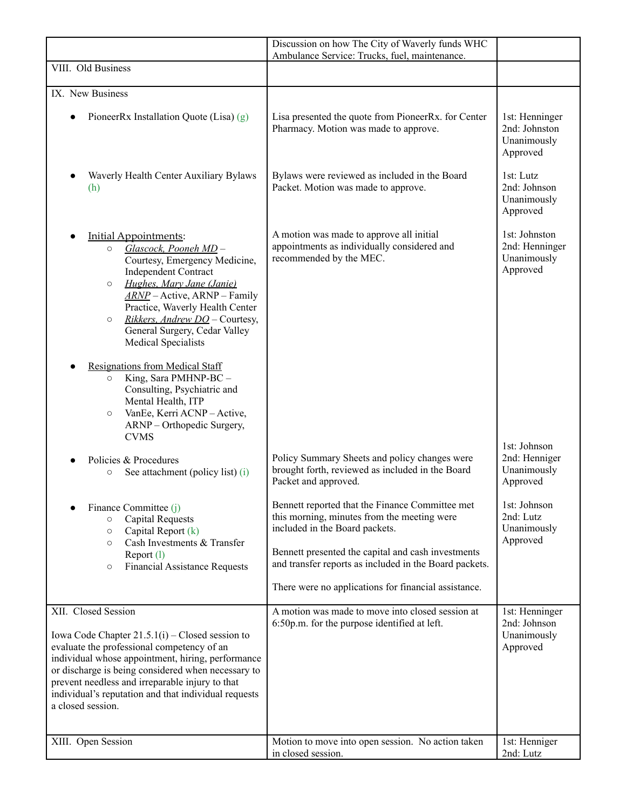|                                                                                                                                                                                                                                                                                                                                                                   | Discussion on how The City of Waverly funds WHC<br>Ambulance Service: Trucks, fuel, maintenance.                                                                                                                                                                                                         |                                                            |
|-------------------------------------------------------------------------------------------------------------------------------------------------------------------------------------------------------------------------------------------------------------------------------------------------------------------------------------------------------------------|----------------------------------------------------------------------------------------------------------------------------------------------------------------------------------------------------------------------------------------------------------------------------------------------------------|------------------------------------------------------------|
| VIII. Old Business                                                                                                                                                                                                                                                                                                                                                |                                                                                                                                                                                                                                                                                                          |                                                            |
| IX. New Business                                                                                                                                                                                                                                                                                                                                                  |                                                                                                                                                                                                                                                                                                          |                                                            |
| PioneerRx Installation Quote (Lisa) $(g)$                                                                                                                                                                                                                                                                                                                         | Lisa presented the quote from PioneerRx. for Center<br>Pharmacy. Motion was made to approve.                                                                                                                                                                                                             | 1st: Henninger<br>2nd: Johnston<br>Unanimously<br>Approved |
| Waverly Health Center Auxiliary Bylaws<br>(h)                                                                                                                                                                                                                                                                                                                     | Bylaws were reviewed as included in the Board<br>Packet. Motion was made to approve.                                                                                                                                                                                                                     | 1st: Lutz<br>2nd: Johnson<br>Unanimously<br>Approved       |
| Initial Appointments:<br>Glascock, Pooneh MD-<br>$\circ$<br>Courtesy, Emergency Medicine,<br><b>Independent Contract</b><br>Hughes, Mary Jane (Janie)<br>$\circ$<br>$\angle$ <i>ARNP</i> – Active, ARNP – Family<br>Practice, Waverly Health Center<br>Rikkers, Andrew DO - Courtesy,<br>$\circ$<br>General Surgery, Cedar Valley<br><b>Medical Specialists</b>   | A motion was made to approve all initial<br>appointments as individually considered and<br>recommended by the MEC.                                                                                                                                                                                       | 1st: Johnston<br>2nd: Henninger<br>Unanimously<br>Approved |
| <b>Resignations from Medical Staff</b><br>King, Sara PMHNP-BC -<br>$\circ$<br>Consulting, Psychiatric and<br>Mental Health, ITP<br>VanEe, Kerri ACNP - Active,<br>$\circ$<br>ARNP - Orthopedic Surgery,<br><b>CVMS</b>                                                                                                                                            |                                                                                                                                                                                                                                                                                                          |                                                            |
| Policies & Procedures<br>See attachment (policy list) (i)<br>$\circ$                                                                                                                                                                                                                                                                                              | Policy Summary Sheets and policy changes were<br>brought forth, reviewed as included in the Board<br>Packet and approved.                                                                                                                                                                                | 1st: Johnson<br>2nd: Henniger<br>Unanimously<br>Approved   |
| Finance Committee (j)<br><b>Capital Requests</b><br>$\circ$<br>Capital Report $(k)$<br>$\circ$<br>Cash Investments & Transfer<br>$\circ$<br>Report (1)<br><b>Financial Assistance Requests</b><br>$\circ$                                                                                                                                                         | Bennett reported that the Finance Committee met<br>this morning, minutes from the meeting were<br>included in the Board packets.<br>Bennett presented the capital and cash investments<br>and transfer reports as included in the Board packets.<br>There were no applications for financial assistance. | 1st: Johnson<br>2nd: Lutz<br>Unanimously<br>Approved       |
| XII. Closed Session<br>Iowa Code Chapter $21.5.1(i)$ – Closed session to<br>evaluate the professional competency of an<br>individual whose appointment, hiring, performance<br>or discharge is being considered when necessary to<br>prevent needless and irreparable injury to that<br>individual's reputation and that individual requests<br>a closed session. | A motion was made to move into closed session at<br>6:50p.m. for the purpose identified at left.                                                                                                                                                                                                         | 1st: Henninger<br>2nd: Johnson<br>Unanimously<br>Approved  |
| XIII. Open Session                                                                                                                                                                                                                                                                                                                                                | Motion to move into open session. No action taken<br>in closed session.                                                                                                                                                                                                                                  | 1st: Henniger<br>2nd: Lutz                                 |